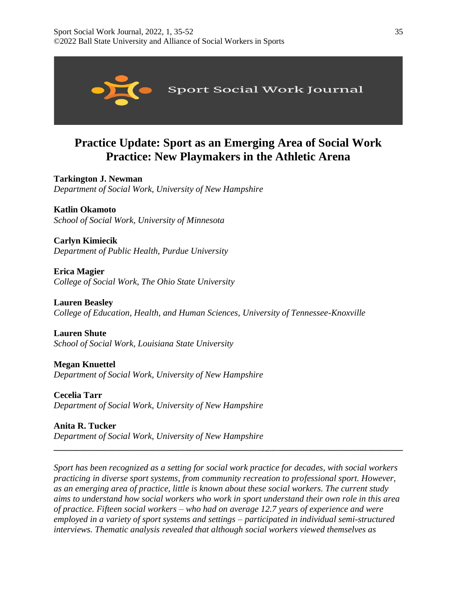

# **Practice Update: Sport as an Emerging Area of Social Work Practice: New Playmakers in the Athletic Arena**

**Tarkington J. Newman** *Department of Social Work, University of New Hampshire*

**Katlin Okamoto** *School of Social Work, University of Minnesota*

**Carlyn Kimiecik** *Department of Public Health, Purdue University*

**Erica Magier** *College of Social Work, The Ohio State University*

**Lauren Beasley** *College of Education, Health, and Human Sciences, University of Tennessee-Knoxville*

**Lauren Shute** *School of Social Work, Louisiana State University*

**Megan Knuettel** *Department of Social Work, University of New Hampshire*

**Cecelia Tarr** *Department of Social Work, University of New Hampshire*

**Anita R. Tucker** *Department of Social Work, University of New Hampshire*

*Sport has been recognized as a setting for social work practice for decades, with social workers practicing in diverse sport systems, from community recreation to professional sport. However, as an emerging area of practice, little is known about these social workers. The current study aims to understand how social workers who work in sport understand their own role in this area of practice. Fifteen social workers – who had on average 12.7 years of experience and were employed in a variety of sport systems and settings – participated in individual semi-structured interviews. Thematic analysis revealed that although social workers viewed themselves as* 

**\_\_\_\_\_\_\_\_\_\_\_\_\_\_\_\_\_\_\_\_\_\_\_\_\_\_\_\_\_\_\_\_\_\_\_\_\_\_\_\_\_\_\_\_\_\_\_\_\_\_\_\_\_\_\_\_\_\_\_\_\_\_\_\_\_\_\_\_\_\_\_\_\_\_\_\_\_\_**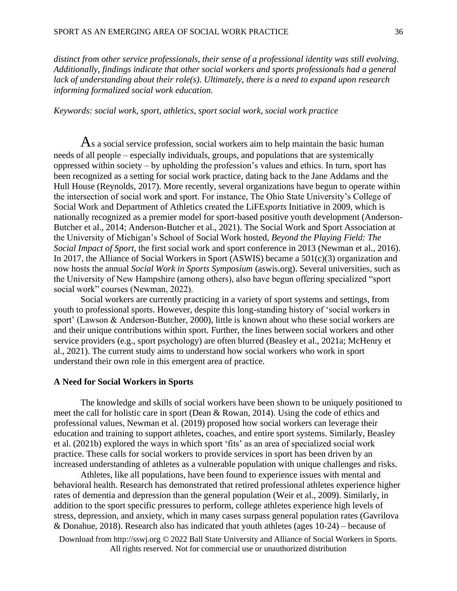*distinct from other service professionals, their sense of a professional identity was still evolving. Additionally, findings indicate that other social workers and sports professionals had a general lack of understanding about their role(s). Ultimately, there is a need to expand upon research informing formalized social work education.*

### *Keywords: social work, sport, athletics, sport social work, social work practice*

 $\mathbf{A}$ s a social service profession, social workers aim to help maintain the basic human needs of all people – especially individuals, groups, and populations that are systemically oppressed within society – by upholding the profession's values and ethics. In turn, sport has been recognized as a setting for social work practice, dating back to the Jane Addams and the Hull House (Reynolds, 2017). More recently, several organizations have begun to operate within the intersection of social work and sport. For instance, The Ohio State University's College of Social Work and Department of Athletics created the LiFE*sports* Initiative in 2009, which is nationally recognized as a premier model for sport-based positive youth development (Anderson-Butcher et al., 2014; Anderson-Butcher et al., 2021). The Social Work and Sport Association at the University of Michigan's School of Social Work hosted, *Beyond the Playing Field: The Social Impact of Sport*, the first social work and sport conference in 2013 (Newman et al., 2016). In 2017, the Alliance of Social Workers in Sport (ASWIS) became a 501(c)(3) organization and now hosts the annual *Social Work in Sports Symposium* (aswis.org). Several universities, such as the University of New Hampshire (among others), also have begun offering specialized "sport social work" courses (Newman, 2022).

Social workers are currently practicing in a variety of sport systems and settings, from youth to professional sports. However, despite this long-standing history of 'social workers in sport' (Lawson & Anderson-Butcher, 2000), little is known about who these social workers are and their unique contributions within sport. Further, the lines between social workers and other service providers (e.g., sport psychology) are often blurred (Beasley et al., 2021a; McHenry et al., 2021). The current study aims to understand how social workers who work in sport understand their own role in this emergent area of practice.

### **A Need for Social Workers in Sports**

The knowledge and skills of social workers have been shown to be uniquely positioned to meet the call for holistic care in sport (Dean & Rowan, 2014). Using the code of ethics and professional values, Newman et al. (2019) proposed how social workers can leverage their education and training to support athletes, coaches, and entire sport systems. Similarly, Beasley et al. (2021b) explored the ways in which sport 'fits' as an area of specialized social work practice. These calls for social workers to provide services in sport has been driven by an increased understanding of athletes as a vulnerable population with unique challenges and risks.

Athletes, like all populations, have been found to experience issues with mental and behavioral health. Research has demonstrated that retired professional athletes experience higher rates of dementia and depression than the general population (Weir et al., 2009). Similarly, in addition to the sport specific pressures to perform, college athletes experience high levels of stress, depression, and anxiety, which in many cases surpass general population rates (Gavrilova & Donahue, 2018). Research also has indicated that youth athletes (ages 10-24) – because of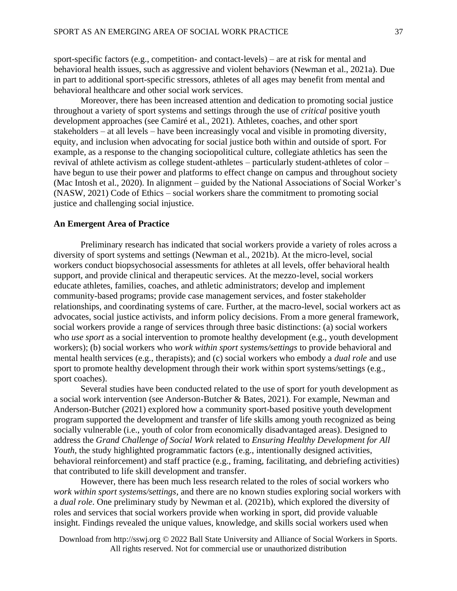sport-specific factors (e.g., competition- and contact-levels) – are at risk for mental and behavioral health issues, such as aggressive and violent behaviors (Newman et al., 2021a). Due in part to additional sport-specific stressors, athletes of all ages may benefit from mental and behavioral healthcare and other social work services.

Moreover, there has been increased attention and dedication to promoting social justice throughout a variety of sport systems and settings through the use of *critical* positive youth development approaches (see Camiré et al., 2021). Athletes, coaches, and other sport stakeholders – at all levels – have been increasingly vocal and visible in promoting diversity, equity, and inclusion when advocating for social justice both within and outside of sport. For example, as a response to the changing sociopolitical culture, collegiate athletics has seen the revival of athlete activism as college student-athletes – particularly student-athletes of color – have begun to use their power and platforms to effect change on campus and throughout society (Mac Intosh et al., 2020). In alignment – guided by the National Associations of Social Worker's (NASW, 2021) Code of Ethics – social workers share the commitment to promoting social justice and challenging social injustice.

# **An Emergent Area of Practice**

Preliminary research has indicated that social workers provide a variety of roles across a diversity of sport systems and settings (Newman et al., 2021b). At the micro-level, social workers conduct biopsychosocial assessments for athletes at all levels, offer behavioral health support, and provide clinical and therapeutic services. At the mezzo-level, social workers educate athletes, families, coaches, and athletic administrators; develop and implement community-based programs; provide case management services, and foster stakeholder relationships, and coordinating systems of care. Further, at the macro-level, social workers act as advocates, social justice activists, and inform policy decisions. From a more general framework, social workers provide a range of services through three basic distinctions: (a) social workers who *use sport* as a social intervention to promote healthy development (e.g., youth development workers); (b) social workers who *work within sport systems/settings* to provide behavioral and mental health services (e.g., therapists); and (c) social workers who embody a *dual role* and use sport to promote healthy development through their work within sport systems/settings (e.g., sport coaches).

Several studies have been conducted related to the use of sport for youth development as a social work intervention (see Anderson-Butcher & Bates, 2021). For example, Newman and Anderson-Butcher (2021) explored how a community sport-based positive youth development program supported the development and transfer of life skills among youth recognized as being socially vulnerable (i.e., youth of color from economically disadvantaged areas). Designed to address the *Grand Challenge of Social Work* related to *Ensuring Healthy Development for All Youth*, the study highlighted programmatic factors (e.g., intentionally designed activities, behavioral reinforcement) and staff practice (e.g., framing, facilitating, and debriefing activities) that contributed to life skill development and transfer.

However, there has been much less research related to the roles of social workers who *work within sport systems/settings*, and there are no known studies exploring social workers with a *dual role*. One preliminary study by Newman et al. (2021b), which explored the diversity of roles and services that social workers provide when working in sport, did provide valuable insight. Findings revealed the unique values, knowledge, and skills social workers used when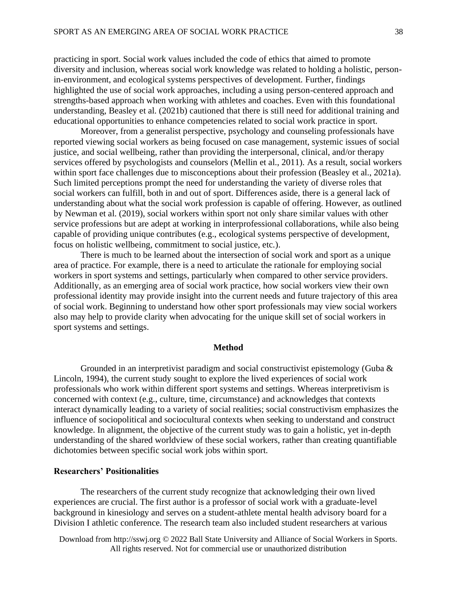practicing in sport. Social work values included the code of ethics that aimed to promote diversity and inclusion, whereas social work knowledge was related to holding a holistic, personin-environment, and ecological systems perspectives of development. Further, findings highlighted the use of social work approaches, including a using person-centered approach and strengths-based approach when working with athletes and coaches. Even with this foundational understanding, Beasley et al. (2021b) cautioned that there is still need for additional training and educational opportunities to enhance competencies related to social work practice in sport.

Moreover, from a generalist perspective, psychology and counseling professionals have reported viewing social workers as being focused on case management, systemic issues of social justice, and social wellbeing, rather than providing the interpersonal, clinical, and/or therapy services offered by psychologists and counselors (Mellin et al., 2011). As a result, social workers within sport face challenges due to misconceptions about their profession (Beasley et al., 2021a). Such limited perceptions prompt the need for understanding the variety of diverse roles that social workers can fulfill, both in and out of sport. Differences aside, there is a general lack of understanding about what the social work profession is capable of offering. However, as outlined by Newman et al. (2019), social workers within sport not only share similar values with other service professions but are adept at working in interprofessional collaborations, while also being capable of providing unique contributes (e.g., ecological systems perspective of development, focus on holistic wellbeing, commitment to social justice, etc.).

There is much to be learned about the intersection of social work and sport as a unique area of practice. For example, there is a need to articulate the rationale for employing social workers in sport systems and settings, particularly when compared to other service providers. Additionally, as an emerging area of social work practice, how social workers view their own professional identity may provide insight into the current needs and future trajectory of this area of social work. Beginning to understand how other sport professionals may view social workers also may help to provide clarity when advocating for the unique skill set of social workers in sport systems and settings.

### **Method**

Grounded in an interpretivist paradigm and social constructivist epistemology (Guba  $\&$ Lincoln, 1994), the current study sought to explore the lived experiences of social work professionals who work within different sport systems and settings. Whereas interpretivism is concerned with context (e.g., culture, time, circumstance) and acknowledges that contexts interact dynamically leading to a variety of social realities; social constructivism emphasizes the influence of sociopolitical and sociocultural contexts when seeking to understand and construct knowledge. In alignment, the objective of the current study was to gain a holistic, yet in-depth understanding of the shared worldview of these social workers, rather than creating quantifiable dichotomies between specific social work jobs within sport.

### **Researchers' Positionalities**

The researchers of the current study recognize that acknowledging their own lived experiences are crucial. The first author is a professor of social work with a graduate-level background in kinesiology and serves on a student-athlete mental health advisory board for a Division I athletic conference. The research team also included student researchers at various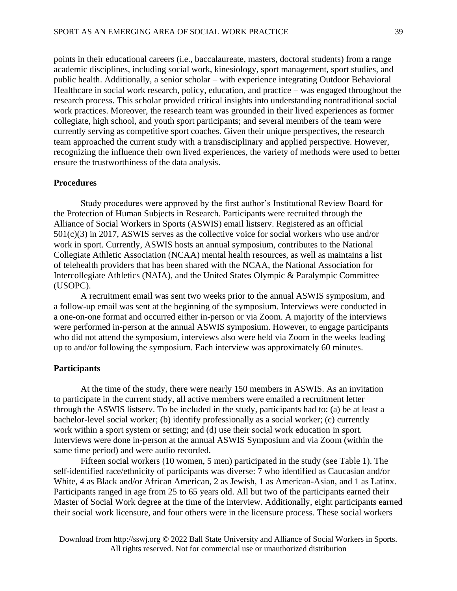points in their educational careers (i.e., baccalaureate, masters, doctoral students) from a range academic disciplines, including social work, kinesiology, sport management, sport studies, and public health. Additionally, a senior scholar – with experience integrating Outdoor Behavioral Healthcare in social work research, policy, education, and practice – was engaged throughout the research process. This scholar provided critical insights into understanding nontraditional social work practices. Moreover, the research team was grounded in their lived experiences as former collegiate, high school, and youth sport participants; and several members of the team were currently serving as competitive sport coaches. Given their unique perspectives, the research team approached the current study with a transdisciplinary and applied perspective. However, recognizing the influence their own lived experiences, the variety of methods were used to better ensure the trustworthiness of the data analysis.

# **Procedures**

Study procedures were approved by the first author's Institutional Review Board for the Protection of Human Subjects in Research. Participants were recruited through the Alliance of Social Workers in Sports (ASWIS) email listserv. Registered as an official 501(c)(3) in 2017, ASWIS serves as the collective voice for social workers who use and/or work in sport. Currently, ASWIS hosts an annual symposium, contributes to the National Collegiate Athletic Association (NCAA) mental health resources, as well as maintains a list of telehealth providers that has been shared with the NCAA, the National Association for Intercollegiate Athletics (NAIA), and the United States Olympic & Paralympic Committee (USOPC).

A recruitment email was sent two weeks prior to the annual ASWIS symposium, and a follow-up email was sent at the beginning of the symposium. Interviews were conducted in a one-on-one format and occurred either in-person or via Zoom. A majority of the interviews were performed in-person at the annual ASWIS symposium. However, to engage participants who did not attend the symposium, interviews also were held via Zoom in the weeks leading up to and/or following the symposium. Each interview was approximately 60 minutes.

### **Participants**

At the time of the study, there were nearly 150 members in ASWIS. As an invitation to participate in the current study, all active members were emailed a recruitment letter through the ASWIS listserv. To be included in the study, participants had to: (a) be at least a bachelor-level social worker; (b) identify professionally as a social worker; (c) currently work within a sport system or setting; and (d) use their social work education in sport. Interviews were done in-person at the annual ASWIS Symposium and via Zoom (within the same time period) and were audio recorded.

Fifteen social workers (10 women, 5 men) participated in the study (see Table 1). The self-identified race/ethnicity of participants was diverse: 7 who identified as Caucasian and/or White, 4 as Black and/or African American, 2 as Jewish, 1 as American-Asian, and 1 as Latinx. Participants ranged in age from 25 to 65 years old. All but two of the participants earned their Master of Social Work degree at the time of the interview. Additionally, eight participants earned their social work licensure, and four others were in the licensure process. These social workers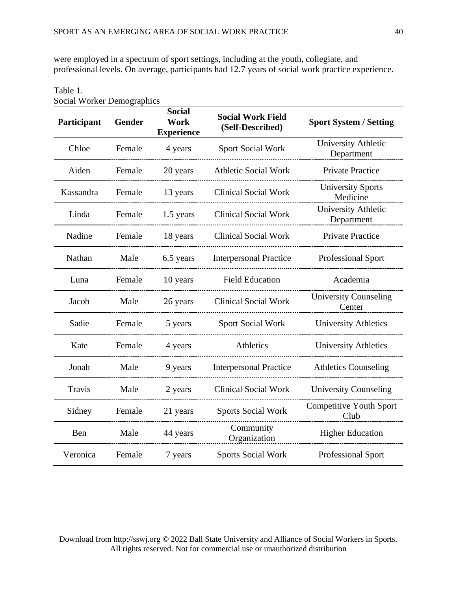were employed in a spectrum of sport settings, including at the youth, collegiate, and professional levels. On average, participants had 12.7 years of social work practice experience.

| $\epsilon$ and $\epsilon$ of $\epsilon$ in $\epsilon$ of $\epsilon$ in $\epsilon$<br>Participant | Gender | <b>Social</b><br>Work<br><b>Experience</b> | <b>Social Work Field</b><br>(Self-Described) | <b>Sport System / Setting</b>          |
|--------------------------------------------------------------------------------------------------|--------|--------------------------------------------|----------------------------------------------|----------------------------------------|
| Chloe                                                                                            | Female | 4 years                                    | <b>Sport Social Work</b>                     | University Athletic<br>Department      |
| Aiden                                                                                            | Female | 20 years                                   | <b>Athletic Social Work</b>                  | <b>Private Practice</b>                |
| Kassandra                                                                                        | Female | 13 years                                   | <b>Clinical Social Work</b>                  | <b>University Sports</b><br>Medicine   |
| Linda                                                                                            | Female | 1.5 years                                  | <b>Clinical Social Work</b>                  | University Athletic<br>Department      |
| Nadine                                                                                           | Female | 18 years                                   | <b>Clinical Social Work</b>                  | <b>Private Practice</b>                |
| Nathan                                                                                           | Male   | 6.5 years                                  | <b>Interpersonal Practice</b>                | Professional Sport                     |
| Luna                                                                                             | Female | 10 years                                   | <b>Field Education</b>                       | Academia                               |
| Jacob                                                                                            | Male   | 26 years                                   | <b>Clinical Social Work</b>                  | <b>University Counseling</b><br>Center |
| Sadie                                                                                            | Female | 5 years                                    | <b>Sport Social Work</b>                     | <b>University Athletics</b>            |
| Kate                                                                                             | Female | 4 years                                    | Athletics                                    | <b>University Athletics</b>            |
| Jonah                                                                                            | Male   | 9 years                                    | <b>Interpersonal Practice</b>                | <b>Athletics Counseling</b>            |
| Travis                                                                                           | Male   | 2 years                                    | <b>Clinical Social Work</b>                  | <b>University Counseling</b>           |
| Sidney                                                                                           | Female | 21 years                                   | <b>Sports Social Work</b>                    | <b>Competitive Youth Sport</b><br>Club |
| Ben                                                                                              | Male   | 44 years                                   | Community<br>Organization                    | <b>Higher Education</b>                |
| Veronica                                                                                         | Female | 7 years                                    | <b>Sports Social Work</b>                    | <b>Professional Sport</b>              |

Social Worker Demographics

Table 1.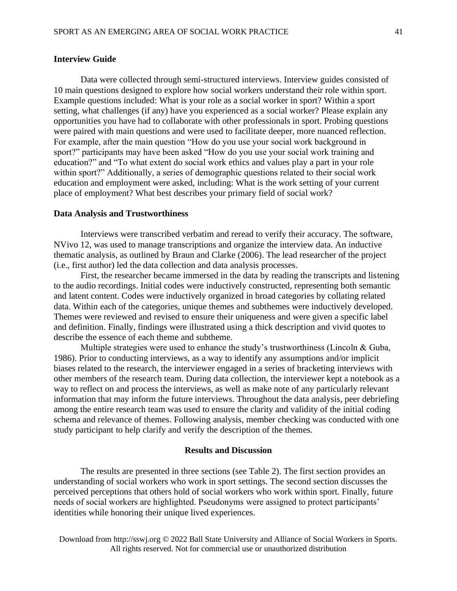# **Interview Guide**

Data were collected through semi-structured interviews. Interview guides consisted of 10 main questions designed to explore how social workers understand their role within sport. Example questions included: What is your role as a social worker in sport? Within a sport setting, what challenges (if any) have you experienced as a social worker? Please explain any opportunities you have had to collaborate with other professionals in sport. Probing questions were paired with main questions and were used to facilitate deeper, more nuanced reflection. For example, after the main question "How do you use your social work background in sport?" participants may have been asked "How do you use your social work training and education?" and "To what extent do social work ethics and values play a part in your role within sport?" Additionally, a series of demographic questions related to their social work education and employment were asked, including: What is the work setting of your current place of employment? What best describes your primary field of social work?

### **Data Analysis and Trustworthiness**

Interviews were transcribed verbatim and reread to verify their accuracy. The software, NVivo 12, was used to manage transcriptions and organize the interview data. An inductive thematic analysis, as outlined by Braun and Clarke (2006). The lead researcher of the project (i.e., first author) led the data collection and data analysis processes.

First, the researcher became immersed in the data by reading the transcripts and listening to the audio recordings. Initial codes were inductively constructed, representing both semantic and latent content. Codes were inductively organized in broad categories by collating related data. Within each of the categories, unique themes and subthemes were inductively developed. Themes were reviewed and revised to ensure their uniqueness and were given a specific label and definition. Finally, findings were illustrated using a thick description and vivid quotes to describe the essence of each theme and subtheme.

Multiple strategies were used to enhance the study's trustworthiness (Lincoln & Guba, 1986). Prior to conducting interviews, as a way to identify any assumptions and/or implicit biases related to the research, the interviewer engaged in a series of bracketing interviews with other members of the research team. During data collection, the interviewer kept a notebook as a way to reflect on and process the interviews, as well as make note of any particularly relevant information that may inform the future interviews. Throughout the data analysis, peer debriefing among the entire research team was used to ensure the clarity and validity of the initial coding schema and relevance of themes. Following analysis, member checking was conducted with one study participant to help clarify and verify the description of the themes.

### **Results and Discussion**

The results are presented in three sections (see Table 2). The first section provides an understanding of social workers who work in sport settings. The second section discusses the perceived perceptions that others hold of social workers who work within sport. Finally, future needs of social workers are highlighted. Pseudonyms were assigned to protect participants' identities while honoring their unique lived experiences.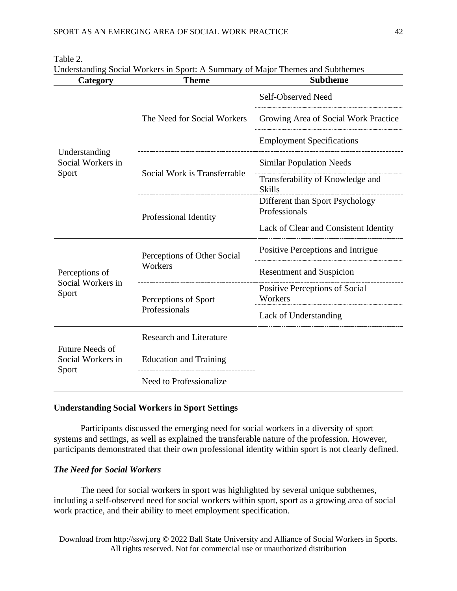| Category                                     | Understanding Social Workers in Sport. A Summary of Major Themes and Subtriemes<br><b>Theme</b> | <b>Subtheme</b>                                   |
|----------------------------------------------|-------------------------------------------------------------------------------------------------|---------------------------------------------------|
|                                              |                                                                                                 | Self-Observed Need                                |
|                                              | The Need for Social Workers                                                                     | Growing Area of Social Work Practice              |
|                                              |                                                                                                 | <b>Employment Specifications</b>                  |
| Understanding<br>Social Workers in<br>Sport  |                                                                                                 | <b>Similar Population Needs</b>                   |
|                                              | Social Work is Transferrable                                                                    | Transferability of Knowledge and<br><b>Skills</b> |
|                                              |                                                                                                 | Different than Sport Psychology<br>Professionals  |
|                                              | Professional Identity                                                                           | Lack of Clear and Consistent Identity             |
|                                              | Perceptions of Other Social                                                                     | Positive Perceptions and Intrigue                 |
| Perceptions of<br>Social Workers in<br>Sport | Workers                                                                                         | <b>Resentment and Suspicion</b>                   |
|                                              | Perceptions of Sport                                                                            | Positive Perceptions of Social<br>Workers         |
|                                              | Professionals                                                                                   | Lack of Understanding                             |
|                                              | <b>Research and Literature</b>                                                                  |                                                   |
| <b>Future Needs of</b><br>Social Workers in  | <b>Education and Training</b>                                                                   |                                                   |
| Sport                                        | Need to Professionalize                                                                         |                                                   |

### Table 2.

Understanding Social Workers in Sport: A Summary of Major Themes and Subthemes

# **Understanding Social Workers in Sport Settings**

Participants discussed the emerging need for social workers in a diversity of sport systems and settings, as well as explained the transferable nature of the profession. However, participants demonstrated that their own professional identity within sport is not clearly defined.

# *The Need for Social Workers*

The need for social workers in sport was highlighted by several unique subthemes, including a self-observed need for social workers within sport, sport as a growing area of social work practice, and their ability to meet employment specification.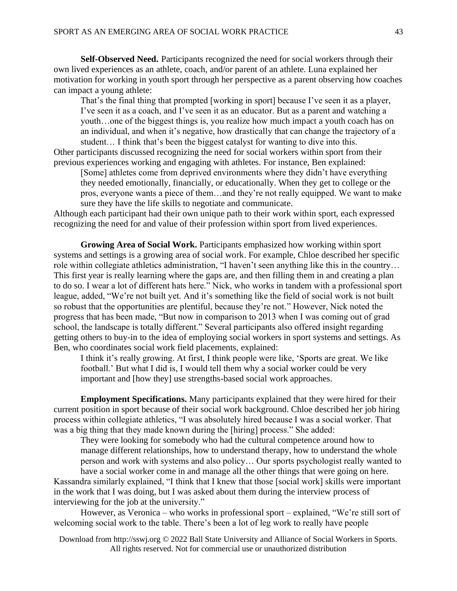**Self-Observed Need.** Participants recognized the need for social workers through their own lived experiences as an athlete, coach, and/or parent of an athlete. Luna explained her motivation for working in youth sport through her perspective as a parent observing how coaches can impact a young athlete:

That's the final thing that prompted [working in sport] because I've seen it as a player, I've seen it as a coach, and I've seen it as an educator. But as a parent and watching a youth…one of the biggest things is, you realize how much impact a youth coach has on an individual, and when it's negative, how drastically that can change the trajectory of a student… I think that's been the biggest catalyst for wanting to dive into this.

Other participants discussed recognizing the need for social workers within sport from their previous experiences working and engaging with athletes. For instance, Ben explained:

[Some] athletes come from deprived environments where they didn't have everything they needed emotionally, financially, or educationally. When they get to college or the pros, everyone wants a piece of them…and they're not really equipped. We want to make sure they have the life skills to negotiate and communicate.

Although each participant had their own unique path to their work within sport, each expressed recognizing the need for and value of their profession within sport from lived experiences.

**Growing Area of Social Work.** Participants emphasized how working within sport systems and settings is a growing area of social work. For example, Chloe described her specific role within collegiate athletics administration, "I haven't seen anything like this in the country… This first year is really learning where the gaps are, and then filling them in and creating a plan to do so. I wear a lot of different hats here." Nick, who works in tandem with a professional sport league, added, "We're not built yet. And it's something like the field of social work is not built so robust that the opportunities are plentiful, because they're not." However, Nick noted the progress that has been made, "But now in comparison to 2013 when I was coming out of grad school, the landscape is totally different." Several participants also offered insight regarding getting others to buy-in to the idea of employing social workers in sport systems and settings. As Ben, who coordinates social work field placements, explained:

I think it's really growing. At first, I think people were like, 'Sports are great. We like football.' But what I did is, I would tell them why a social worker could be very important and [how they] use strengths-based social work approaches.

**Employment Specifications.** Many participants explained that they were hired for their current position in sport because of their social work background. Chloe described her job hiring process within collegiate athletics, "I was absolutely hired because I was a social worker. That was a big thing that they made known during the [hiring] process." She added:

They were looking for somebody who had the cultural competence around how to manage different relationships, how to understand therapy, how to understand the whole person and work with systems and also policy… Our sports psychologist really wanted to have a social worker come in and manage all the other things that were going on here.

Kassandra similarly explained, "I think that I knew that those [social work] skills were important in the work that I was doing, but I was asked about them during the interview process of interviewing for the job at the university."

However, as Veronica – who works in professional sport – explained, "We're still sort of welcoming social work to the table. There's been a lot of leg work to really have people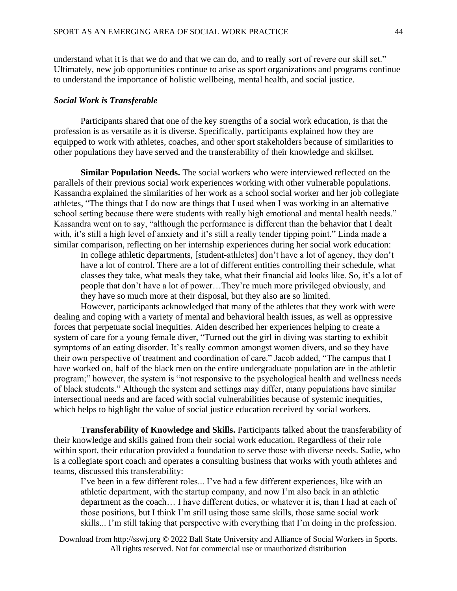understand what it is that we do and that we can do, and to really sort of revere our skill set." Ultimately, new job opportunities continue to arise as sport organizations and programs continue to understand the importance of holistic wellbeing, mental health, and social justice.

#### *Social Work is Transferable*

Participants shared that one of the key strengths of a social work education, is that the profession is as versatile as it is diverse. Specifically, participants explained how they are equipped to work with athletes, coaches, and other sport stakeholders because of similarities to other populations they have served and the transferability of their knowledge and skillset.

**Similar Population Needs.** The social workers who were interviewed reflected on the parallels of their previous social work experiences working with other vulnerable populations. Kassandra explained the similarities of her work as a school social worker and her job collegiate athletes, "The things that I do now are things that I used when I was working in an alternative school setting because there were students with really high emotional and mental health needs." Kassandra went on to say, "although the performance is different than the behavior that I dealt with, it's still a high level of anxiety and it's still a really tender tipping point." Linda made a similar comparison, reflecting on her internship experiences during her social work education:

In college athletic departments, [student-athletes] don't have a lot of agency, they don't have a lot of control. There are a lot of different entities controlling their schedule, what classes they take, what meals they take, what their financial aid looks like. So, it's a lot of people that don't have a lot of power…They're much more privileged obviously, and they have so much more at their disposal, but they also are so limited.

However, participants acknowledged that many of the athletes that they work with were dealing and coping with a variety of mental and behavioral health issues, as well as oppressive forces that perpetuate social inequities. Aiden described her experiences helping to create a system of care for a young female diver, "Turned out the girl in diving was starting to exhibit symptoms of an eating disorder. It's really common amongst women divers, and so they have their own perspective of treatment and coordination of care." Jacob added, "The campus that I have worked on, half of the black men on the entire undergraduate population are in the athletic program;" however, the system is "not responsive to the psychological health and wellness needs of black students." Although the system and settings may differ, many populations have similar intersectional needs and are faced with social vulnerabilities because of systemic inequities, which helps to highlight the value of social justice education received by social workers.

**Transferability of Knowledge and Skills.** Participants talked about the transferability of their knowledge and skills gained from their social work education. Regardless of their role within sport, their education provided a foundation to serve those with diverse needs. Sadie, who is a collegiate sport coach and operates a consulting business that works with youth athletes and teams, discussed this transferability:

I've been in a few different roles... I've had a few different experiences, like with an athletic department, with the startup company, and now I'm also back in an athletic department as the coach… I have different duties, or whatever it is, than I had at each of those positions, but I think I'm still using those same skills, those same social work skills... I'm still taking that perspective with everything that I'm doing in the profession.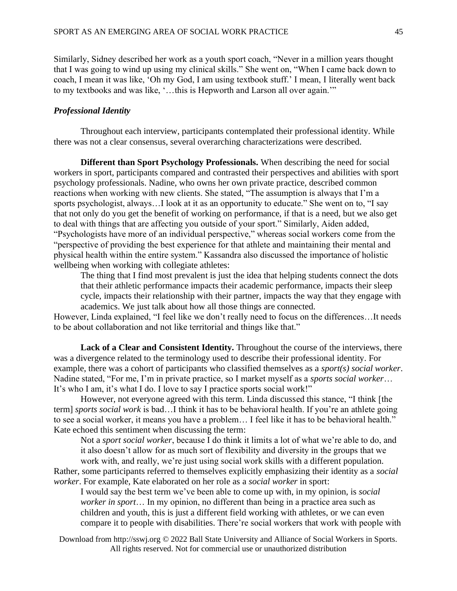Similarly, Sidney described her work as a youth sport coach, "Never in a million years thought that I was going to wind up using my clinical skills." She went on, "When I came back down to coach, I mean it was like, 'Oh my God, I am using textbook stuff.' I mean, I literally went back to my textbooks and was like, '…this is Hepworth and Larson all over again.'"

# *Professional Identity*

Throughout each interview, participants contemplated their professional identity. While there was not a clear consensus, several overarching characterizations were described.

**Different than Sport Psychology Professionals.** When describing the need for social workers in sport, participants compared and contrasted their perspectives and abilities with sport psychology professionals. Nadine, who owns her own private practice, described common reactions when working with new clients. She stated, "The assumption is always that I'm a sports psychologist, always…I look at it as an opportunity to educate." She went on to, "I say that not only do you get the benefit of working on performance, if that is a need, but we also get to deal with things that are affecting you outside of your sport." Similarly, Aiden added, "Psychologists have more of an individual perspective," whereas social workers come from the "perspective of providing the best experience for that athlete and maintaining their mental and physical health within the entire system." Kassandra also discussed the importance of holistic wellbeing when working with collegiate athletes:

The thing that I find most prevalent is just the idea that helping students connect the dots that their athletic performance impacts their academic performance, impacts their sleep cycle, impacts their relationship with their partner, impacts the way that they engage with academics. We just talk about how all those things are connected.

However, Linda explained, "I feel like we don't really need to focus on the differences…It needs to be about collaboration and not like territorial and things like that."

Lack of a Clear and Consistent Identity. Throughout the course of the interviews, there was a divergence related to the terminology used to describe their professional identity. For example, there was a cohort of participants who classified themselves as a *sport(s) social worker*. Nadine stated, "For me, I'm in private practice, so I market myself as a *sports social worker*… It's who I am, it's what I do. I love to say I practice sports social work!"

However, not everyone agreed with this term. Linda discussed this stance, "I think [the term] *sports social work* is bad…I think it has to be behavioral health. If you're an athlete going to see a social worker, it means you have a problem… I feel like it has to be behavioral health." Kate echoed this sentiment when discussing the term:

Not a *sport social worker*, because I do think it limits a lot of what we're able to do, and it also doesn't allow for as much sort of flexibility and diversity in the groups that we work with, and really, we're just using social work skills with a different population.

Rather, some participants referred to themselves explicitly emphasizing their identity as a *social worker*. For example, Kate elaborated on her role as a *social worker* in sport:

I would say the best term we've been able to come up with, in my opinion, is *social worker in sport*… In my opinion, no different than being in a practice area such as children and youth, this is just a different field working with athletes, or we can even compare it to people with disabilities. There're social workers that work with people with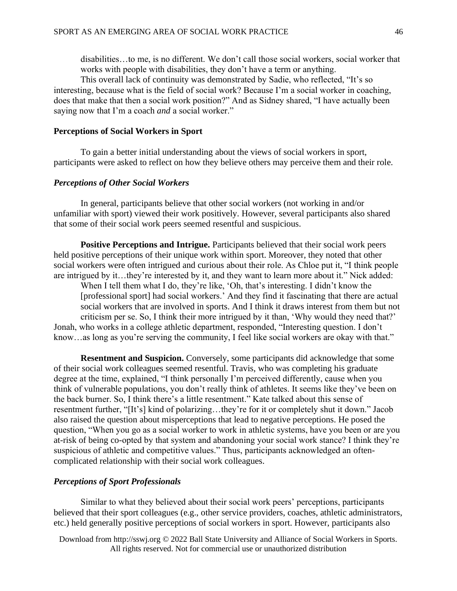disabilities…to me, is no different. We don't call those social workers, social worker that works with people with disabilities, they don't have a term or anything.

This overall lack of continuity was demonstrated by Sadie, who reflected, "It's so interesting, because what is the field of social work? Because I'm a social worker in coaching, does that make that then a social work position?" And as Sidney shared, "I have actually been saying now that I'm a coach *and* a social worker."

# **Perceptions of Social Workers in Sport**

To gain a better initial understanding about the views of social workers in sport, participants were asked to reflect on how they believe others may perceive them and their role.

### *Perceptions of Other Social Workers*

In general, participants believe that other social workers (not working in and/or unfamiliar with sport) viewed their work positively. However, several participants also shared that some of their social work peers seemed resentful and suspicious.

**Positive Perceptions and Intrigue.** Participants believed that their social work peers held positive perceptions of their unique work within sport. Moreover, they noted that other social workers were often intrigued and curious about their role. As Chloe put it, "I think people are intrigued by it…they're interested by it, and they want to learn more about it." Nick added:

When I tell them what I do, they're like, 'Oh, that's interesting. I didn't know the [professional sport] had social workers.' And they find it fascinating that there are actual social workers that are involved in sports. And I think it draws interest from them but not criticism per se. So, I think their more intrigued by it than, 'Why would they need that?' Jonah, who works in a college athletic department, responded, "Interesting question. I don't know...as long as you're serving the community, I feel like social workers are okay with that."

**Resentment and Suspicion.** Conversely, some participants did acknowledge that some of their social work colleagues seemed resentful. Travis, who was completing his graduate degree at the time, explained, "I think personally I'm perceived differently, cause when you think of vulnerable populations, you don't really think of athletes. It seems like they've been on the back burner. So, I think there's a little resentment." Kate talked about this sense of resentment further, "[It's] kind of polarizing…they're for it or completely shut it down." Jacob also raised the question about misperceptions that lead to negative perceptions. He posed the question, "When you go as a social worker to work in athletic systems, have you been or are you at-risk of being co-opted by that system and abandoning your social work stance? I think they're suspicious of athletic and competitive values." Thus, participants acknowledged an oftencomplicated relationship with their social work colleagues.

# *Perceptions of Sport Professionals*

Similar to what they believed about their social work peers' perceptions, participants believed that their sport colleagues (e.g., other service providers, coaches, athletic administrators, etc.) held generally positive perceptions of social workers in sport. However, participants also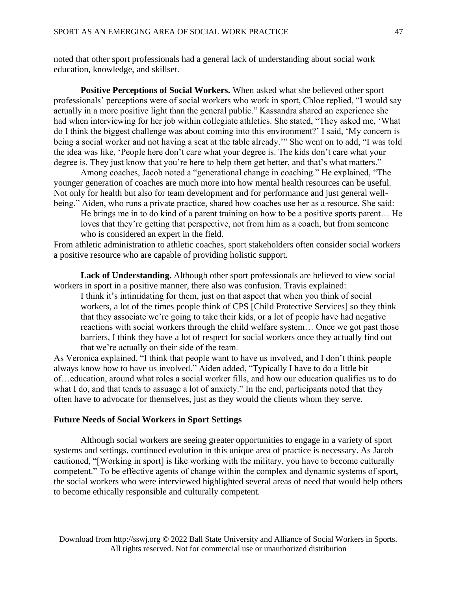noted that other sport professionals had a general lack of understanding about social work education, knowledge, and skillset.

**Positive Perceptions of Social Workers.** When asked what she believed other sport professionals' perceptions were of social workers who work in sport, Chloe replied, "I would say actually in a more positive light than the general public." Kassandra shared an experience she had when interviewing for her job within collegiate athletics. She stated, "They asked me, 'What do I think the biggest challenge was about coming into this environment?' I said, 'My concern is being a social worker and not having a seat at the table already.'" She went on to add, "I was told the idea was like, 'People here don't care what your degree is. The kids don't care what your degree is. They just know that you're here to help them get better, and that's what matters."

Among coaches, Jacob noted a "generational change in coaching." He explained, "The younger generation of coaches are much more into how mental health resources can be useful. Not only for health but also for team development and for performance and just general wellbeing." Aiden, who runs a private practice, shared how coaches use her as a resource. She said:

He brings me in to do kind of a parent training on how to be a positive sports parent… He loves that they're getting that perspective, not from him as a coach, but from someone who is considered an expert in the field.

From athletic administration to athletic coaches, sport stakeholders often consider social workers a positive resource who are capable of providing holistic support.

**Lack of Understanding.** Although other sport professionals are believed to view social workers in sport in a positive manner, there also was confusion. Travis explained:

I think it's intimidating for them, just on that aspect that when you think of social workers, a lot of the times people think of CPS [Child Protective Services] so they think that they associate we're going to take their kids, or a lot of people have had negative reactions with social workers through the child welfare system… Once we got past those barriers, I think they have a lot of respect for social workers once they actually find out that we're actually on their side of the team.

As Veronica explained, "I think that people want to have us involved, and I don't think people always know how to have us involved." Aiden added, "Typically I have to do a little bit of…education, around what roles a social worker fills, and how our education qualifies us to do what I do, and that tends to assuage a lot of anxiety." In the end, participants noted that they often have to advocate for themselves, just as they would the clients whom they serve.

# **Future Needs of Social Workers in Sport Settings**

Although social workers are seeing greater opportunities to engage in a variety of sport systems and settings, continued evolution in this unique area of practice is necessary. As Jacob cautioned, "[Working in sport] is like working with the military, you have to become culturally competent." To be effective agents of change within the complex and dynamic systems of sport, the social workers who were interviewed highlighted several areas of need that would help others to become ethically responsible and culturally competent.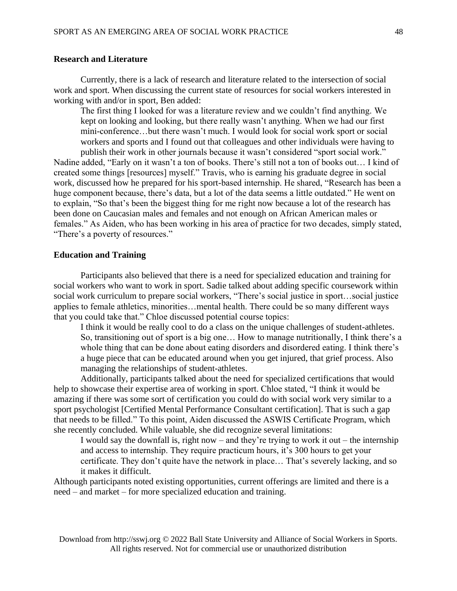# **Research and Literature**

Currently, there is a lack of research and literature related to the intersection of social work and sport. When discussing the current state of resources for social workers interested in working with and/or in sport, Ben added:

The first thing I looked for was a literature review and we couldn't find anything. We kept on looking and looking, but there really wasn't anything. When we had our first mini-conference…but there wasn't much. I would look for social work sport or social workers and sports and I found out that colleagues and other individuals were having to

publish their work in other journals because it wasn't considered "sport social work." Nadine added, "Early on it wasn't a ton of books. There's still not a ton of books out… I kind of created some things [resources] myself." Travis, who is earning his graduate degree in social work, discussed how he prepared for his sport-based internship. He shared, "Research has been a huge component because, there's data, but a lot of the data seems a little outdated." He went on to explain, "So that's been the biggest thing for me right now because a lot of the research has been done on Caucasian males and females and not enough on African American males or females." As Aiden, who has been working in his area of practice for two decades, simply stated, "There's a poverty of resources."

# **Education and Training**

Participants also believed that there is a need for specialized education and training for social workers who want to work in sport. Sadie talked about adding specific coursework within social work curriculum to prepare social workers, "There's social justice in sport…social justice applies to female athletics, minorities…mental health. There could be so many different ways that you could take that." Chloe discussed potential course topics:

I think it would be really cool to do a class on the unique challenges of student-athletes. So, transitioning out of sport is a big one… How to manage nutritionally, I think there's a whole thing that can be done about eating disorders and disordered eating. I think there's a huge piece that can be educated around when you get injured, that grief process. Also managing the relationships of student-athletes.

Additionally, participants talked about the need for specialized certifications that would help to showcase their expertise area of working in sport. Chloe stated, "I think it would be amazing if there was some sort of certification you could do with social work very similar to a sport psychologist [Certified Mental Performance Consultant certification]. That is such a gap that needs to be filled." To this point, Aiden discussed the ASWIS Certificate Program, which she recently concluded. While valuable, she did recognize several limitations:

I would say the downfall is, right now – and they're trying to work it out – the internship and access to internship. They require practicum hours, it's 300 hours to get your certificate. They don't quite have the network in place… That's severely lacking, and so it makes it difficult.

Although participants noted existing opportunities, current offerings are limited and there is a need – and market – for more specialized education and training.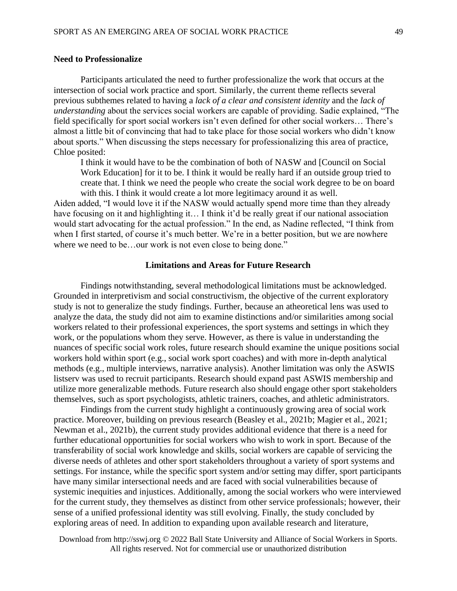# **Need to Professionalize**

Participants articulated the need to further professionalize the work that occurs at the intersection of social work practice and sport. Similarly, the current theme reflects several previous subthemes related to having a *lack of a clear and consistent identity* and the *lack of understanding* about the services social workers are capable of providing. Sadie explained, "The field specifically for sport social workers isn't even defined for other social workers… There's almost a little bit of convincing that had to take place for those social workers who didn't know about sports." When discussing the steps necessary for professionalizing this area of practice, Chloe posited:

I think it would have to be the combination of both of NASW and [Council on Social Work Education] for it to be. I think it would be really hard if an outside group tried to create that. I think we need the people who create the social work degree to be on board with this. I think it would create a lot more legitimacy around it as well.

Aiden added, "I would love it if the NASW would actually spend more time than they already have focusing on it and highlighting it... I think it'd be really great if our national association would start advocating for the actual profession." In the end, as Nadine reflected, "I think from when I first started, of course it's much better. We're in a better position, but we are nowhere where we need to be...our work is not even close to being done."

### **Limitations and Areas for Future Research**

Findings notwithstanding, several methodological limitations must be acknowledged. Grounded in interpretivism and social constructivism, the objective of the current exploratory study is not to generalize the study findings. Further, because an atheoretical lens was used to analyze the data, the study did not aim to examine distinctions and/or similarities among social workers related to their professional experiences, the sport systems and settings in which they work, or the populations whom they serve. However, as there is value in understanding the nuances of specific social work roles, future research should examine the unique positions social workers hold within sport (e.g., social work sport coaches) and with more in-depth analytical methods (e.g., multiple interviews, narrative analysis). Another limitation was only the ASWIS listserv was used to recruit participants. Research should expand past ASWIS membership and utilize more generalizable methods. Future research also should engage other sport stakeholders themselves, such as sport psychologists, athletic trainers, coaches, and athletic administrators.

Findings from the current study highlight a continuously growing area of social work practice. Moreover, building on previous research (Beasley et al., 2021b; Magier et al., 2021; Newman et al., 2021b), the current study provides additional evidence that there is a need for further educational opportunities for social workers who wish to work in sport. Because of the transferability of social work knowledge and skills, social workers are capable of servicing the diverse needs of athletes and other sport stakeholders throughout a variety of sport systems and settings. For instance, while the specific sport system and/or setting may differ, sport participants have many similar intersectional needs and are faced with social vulnerabilities because of systemic inequities and injustices. Additionally, among the social workers who were interviewed for the current study, they themselves as distinct from other service professionals; however, their sense of a unified professional identity was still evolving. Finally, the study concluded by exploring areas of need. In addition to expanding upon available research and literature,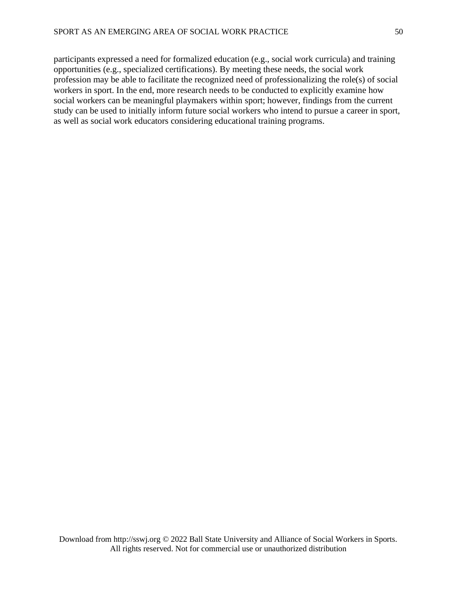participants expressed a need for formalized education (e.g., social work curricula) and training opportunities (e.g., specialized certifications). By meeting these needs, the social work profession may be able to facilitate the recognized need of professionalizing the role(s) of social workers in sport. In the end, more research needs to be conducted to explicitly examine how social workers can be meaningful playmakers within sport; however, findings from the current study can be used to initially inform future social workers who intend to pursue a career in sport, as well as social work educators considering educational training programs.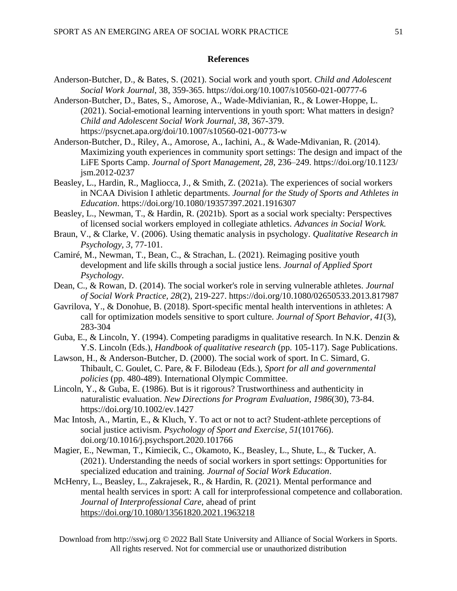# **References**

- Anderson-Butcher, D., & Bates, S. (2021). Social work and youth sport. *Child and Adolescent Social Work Journal*, 38, 359-365. https://doi.org/10.1007/s10560-021-00777-6
- Anderson-Butcher, D., Bates, S., Amorose, A., Wade-Mdivianian, R., & Lower-Hoppe, L. (2021). Social-emotional learning interventions in youth sport: What matters in design? *Child and Adolescent Social Work Journal*, *38*, 367-379. https://psycnet.apa.org/doi/10.1007/s10560-021-00773-w
- Anderson-Butcher, D., Riley, A., Amorose, A., Iachini, A., & Wade-Mdivanian, R. (2014). Maximizing youth experiences in community sport settings: The design and impact of the LiFE Sports Camp. *Journal of Sport Management, 28*, 236–249. https://doi.org/10.1123/ jsm.2012-0237
- Beasley, L., Hardin, R., Magliocca, J., & Smith, Z. (2021a). The experiences of social workers in NCAA Division I athletic departments. *Journal for the Study of Sports and Athletes in Education*. https://doi.org/10.1080/19357397.2021.1916307
- Beasley, L., Newman, T., & Hardin, R. (2021b). Sport as a social work specialty: Perspectives of licensed social workers employed in collegiate athletics. *Advances in Social Work.*
- Braun, V., & Clarke, V. (2006). Using thematic analysis in psychology. *Qualitative Research in Psychology, 3*, 77-101.
- Camiré, M., Newman, T., Bean, C., & Strachan, L. (2021). Reimaging positive youth development and life skills through a social justice lens. *Journal of Applied Sport Psychology*.
- Dean, C., & Rowan, D. (2014). The social worker's role in serving vulnerable athletes. *Journal of Social Work Practice, 28*(2), 219-227. https://doi.org/10.1080/02650533.2013.817987
- Gavrilova, Y., & Donohue, B. (2018). Sport-specific mental health interventions in athletes: A call for optimization models sensitive to sport culture. *Journal of Sport Behavior*, *41*(3), 283-304
- Guba, E., & Lincoln, Y. (1994). Competing paradigms in qualitative research. In N.K. Denzin & Y.S. Lincoln (Eds.), *Handbook of qualitative research* (pp. 105-117). Sage Publications.
- Lawson, H., & Anderson-Butcher, D. (2000). The social work of sport. In C. Simard, G. Thibault, C. Goulet, C. Pare, & F. Bilodeau (Eds.), *Sport for all and governmental policies* (pp. 480-489). International Olympic Committee.
- Lincoln, Y., & Guba, E. (1986). But is it rigorous? Trustworthiness and authenticity in naturalistic evaluation. *New Directions for Program Evaluation*, *1986*(30), 73-84. https://doi.org/10.1002/ev.1427
- Mac Intosh, A., Martin, E., & Kluch, Y. To act or not to act? Student-athlete perceptions of social justice activism. *Psychology of Sport and Exercise*, *51*(101766). doi.org/10.1016/j.psychsport.2020.101766
- Magier, E., Newman, T., Kimiecik, C., Okamoto, K., Beasley, L., Shute, L., & Tucker, A. (2021). Understanding the needs of social workers in sport settings: Opportunities for specialized education and training. *Journal of Social Work Education*.
- McHenry, L., Beasley, L., Zakrajesek, R., & Hardin, R. (2021). Mental performance and mental health services in sport: A call for interprofessional competence and collaboration. *Journal of Interprofessional Care,* ahead of print <https://doi.org/10.1080/13561820.2021.1963218>